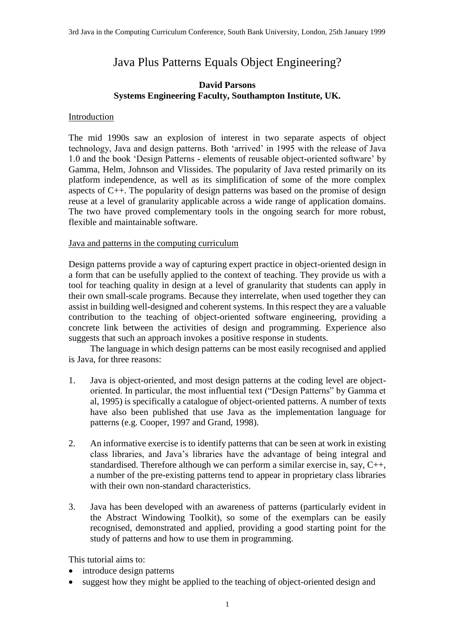# Java Plus Patterns Equals Object Engineering?

## **David Parsons Systems Engineering Faculty, Southampton Institute, UK.**

#### Introduction

The mid 1990s saw an explosion of interest in two separate aspects of object technology, Java and design patterns. Both 'arrived' in 1995 with the release of Java 1.0 and the book 'Design Patterns - elements of reusable object-oriented software' by Gamma, Helm, Johnson and Vlissides. The popularity of Java rested primarily on its platform independence, as well as its simplification of some of the more complex aspects of C++. The popularity of design patterns was based on the promise of design reuse at a level of granularity applicable across a wide range of application domains. The two have proved complementary tools in the ongoing search for more robust, flexible and maintainable software.

#### Java and patterns in the computing curriculum

Design patterns provide a way of capturing expert practice in object-oriented design in a form that can be usefully applied to the context of teaching. They provide us with a tool for teaching quality in design at a level of granularity that students can apply in their own small-scale programs. Because they interrelate, when used together they can assist in building well-designed and coherent systems. In this respect they are a valuable contribution to the teaching of object-oriented software engineering, providing a concrete link between the activities of design and programming. Experience also suggests that such an approach invokes a positive response in students.

The language in which design patterns can be most easily recognised and applied is Java, for three reasons:

- 1. Java is object-oriented, and most design patterns at the coding level are objectoriented. In particular, the most influential text ("Design Patterns" by Gamma et al, 1995) is specifically a catalogue of object-oriented patterns. A number of texts have also been published that use Java as the implementation language for patterns (e.g. Cooper, 1997 and Grand, 1998).
- 2. An informative exercise is to identify patterns that can be seen at work in existing class libraries, and Java's libraries have the advantage of being integral and standardised. Therefore although we can perform a similar exercise in, say, C++, a number of the pre-existing patterns tend to appear in proprietary class libraries with their own non-standard characteristics.
- 3. Java has been developed with an awareness of patterns (particularly evident in the Abstract Windowing Toolkit), so some of the exemplars can be easily recognised, demonstrated and applied, providing a good starting point for the study of patterns and how to use them in programming.

This tutorial aims to:

- introduce design patterns
- suggest how they might be applied to the teaching of object-oriented design and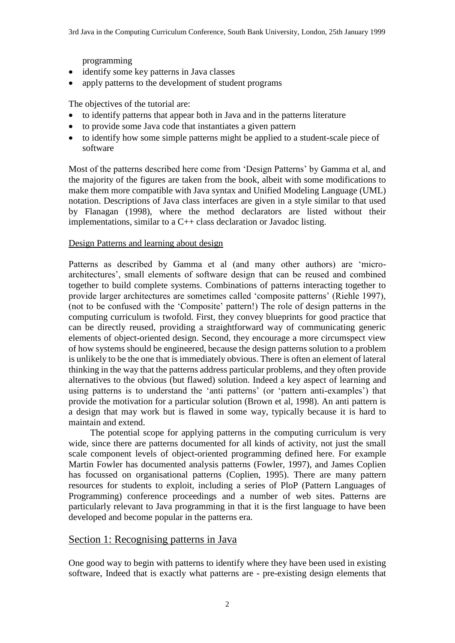programming

- identify some key patterns in Java classes
- apply patterns to the development of student programs

The objectives of the tutorial are:

- to identify patterns that appear both in Java and in the patterns literature
- to provide some Java code that instantiates a given pattern
- to identify how some simple patterns might be applied to a student-scale piece of software

Most of the patterns described here come from 'Design Patterns' by Gamma et al, and the majority of the figures are taken from the book, albeit with some modifications to make them more compatible with Java syntax and Unified Modeling Language (UML) notation. Descriptions of Java class interfaces are given in a style similar to that used by Flanagan (1998), where the method declarators are listed without their implementations, similar to a C++ class declaration or Javadoc listing.

## Design Patterns and learning about design

Patterns as described by Gamma et al (and many other authors) are 'microarchitectures', small elements of software design that can be reused and combined together to build complete systems. Combinations of patterns interacting together to provide larger architectures are sometimes called 'composite patterns' (Riehle 1997), (not to be confused with the 'Composite' pattern!) The role of design patterns in the computing curriculum is twofold. First, they convey blueprints for good practice that can be directly reused, providing a straightforward way of communicating generic elements of object-oriented design. Second, they encourage a more circumspect view of how systems should be engineered, because the design patterns solution to a problem is unlikely to be the one that is immediately obvious. There is often an element of lateral thinking in the way that the patterns address particular problems, and they often provide alternatives to the obvious (but flawed) solution. Indeed a key aspect of learning and using patterns is to understand the 'anti patterns' (or 'pattern anti-examples') that provide the motivation for a particular solution (Brown et al, 1998). An anti pattern is a design that may work but is flawed in some way, typically because it is hard to maintain and extend.

The potential scope for applying patterns in the computing curriculum is very wide, since there are patterns documented for all kinds of activity, not just the small scale component levels of object-oriented programming defined here. For example Martin Fowler has documented analysis patterns (Fowler, 1997), and James Coplien has focussed on organisational patterns (Coplien, 1995). There are many pattern resources for students to exploit, including a series of PloP (Pattern Languages of Programming) conference proceedings and a number of web sites. Patterns are particularly relevant to Java programming in that it is the first language to have been developed and become popular in the patterns era.

## Section 1: Recognising patterns in Java

One good way to begin with patterns to identify where they have been used in existing software, Indeed that is exactly what patterns are - pre-existing design elements that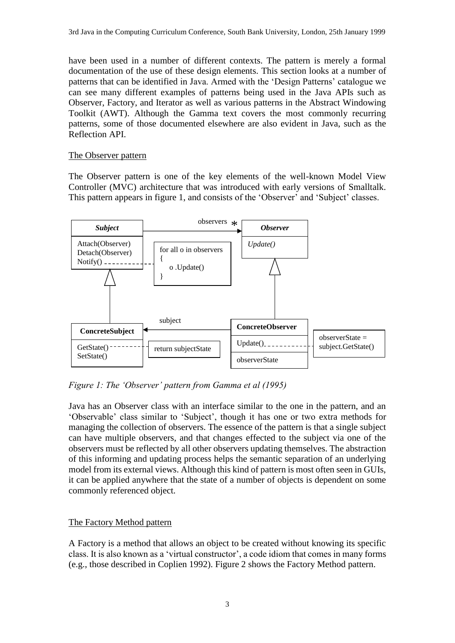have been used in a number of different contexts. The pattern is merely a formal documentation of the use of these design elements. This section looks at a number of patterns that can be identified in Java. Armed with the 'Design Patterns' catalogue we can see many different examples of patterns being used in the Java APIs such as Observer, Factory, and Iterator as well as various patterns in the Abstract Windowing Toolkit (AWT). Although the Gamma text covers the most commonly recurring patterns, some of those documented elsewhere are also evident in Java, such as the Reflection API.

### The Observer pattern

The Observer pattern is one of the key elements of the well-known Model View Controller (MVC) architecture that was introduced with early versions of Smalltalk. This pattern appears in figure 1, and consists of the 'Observer' and 'Subject' classes.



*Figure 1: The 'Observer' pattern from Gamma et al (1995)*

Java has an Observer class with an interface similar to the one in the pattern, and an 'Observable' class similar to 'Subject', though it has one or two extra methods for managing the collection of observers. The essence of the pattern is that a single subject can have multiple observers, and that changes effected to the subject via one of the observers must be reflected by all other observers updating themselves. The abstraction of this informing and updating process helps the semantic separation of an underlying model from its external views. Although this kind of pattern is most often seen in GUIs, it can be applied anywhere that the state of a number of objects is dependent on some commonly referenced object.

## The Factory Method pattern

A Factory is a method that allows an object to be created without knowing its specific class. It is also known as a 'virtual constructor', a code idiom that comes in many forms (e.g., those described in Coplien 1992). Figure 2 shows the Factory Method pattern.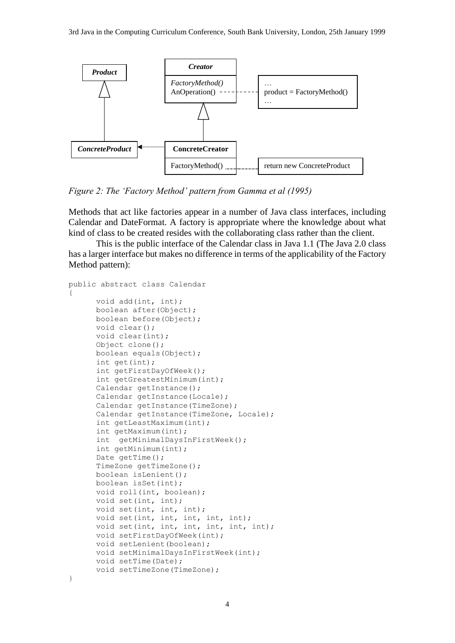

*Figure 2: The 'Factory Method' pattern from Gamma et al (1995)*

Methods that act like factories appear in a number of Java class interfaces, including Calendar and DateFormat. A factory is appropriate where the knowledge about what kind of class to be created resides with the collaborating class rather than the client.

This is the public interface of the Calendar class in Java 1.1 (The Java 2.0 class has a larger interface but makes no difference in terms of the applicability of the Factory Method pattern):

```
public abstract class Calendar
{
      void add(int, int);
      boolean after(Object);
      boolean before(Object);
      void clear();
      void clear(int);
      Object clone();
      boolean equals(Object);
      int get(int);
      int getFirstDayOfWeek();
      int getGreatestMinimum(int);
      Calendar getInstance();
      Calendar getInstance(Locale);
      Calendar getInstance(TimeZone);
      Calendar getInstance(TimeZone, Locale);
      int getLeastMaximum(int);
      int getMaximum(int);
      int getMinimalDaysInFirstWeek();
      int getMinimum(int);
      Date getTime();
      TimeZone getTimeZone();
      boolean isLenient();
      boolean isSet(int);
      void roll(int, boolean);
      void set(int, int);
      void set(int, int, int);
      void set(int, int, int, int, int);
      void set(int, int, int, int, int, int);
      void setFirstDayOfWeek(int);
      void setLenient(boolean);
      void setMinimalDaysInFirstWeek(int);
      void setTime(Date);
      void setTimeZone(TimeZone);
```
}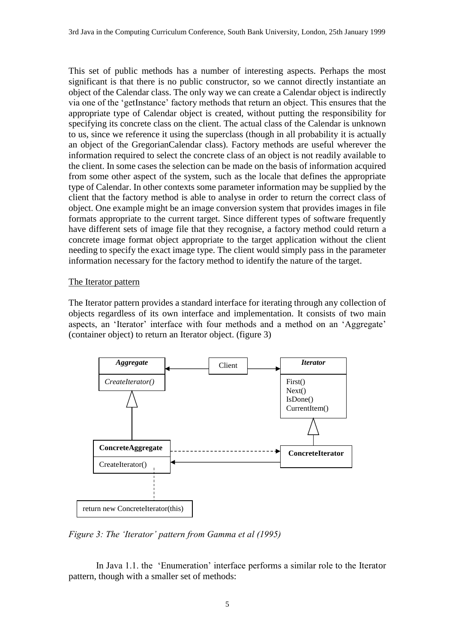This set of public methods has a number of interesting aspects. Perhaps the most significant is that there is no public constructor, so we cannot directly instantiate an object of the Calendar class. The only way we can create a Calendar object is indirectly via one of the 'getInstance' factory methods that return an object. This ensures that the appropriate type of Calendar object is created, without putting the responsibility for specifying its concrete class on the client. The actual class of the Calendar is unknown to us, since we reference it using the superclass (though in all probability it is actually an object of the GregorianCalendar class). Factory methods are useful wherever the information required to select the concrete class of an object is not readily available to the client. In some cases the selection can be made on the basis of information acquired from some other aspect of the system, such as the locale that defines the appropriate type of Calendar. In other contexts some parameter information may be supplied by the client that the factory method is able to analyse in order to return the correct class of object. One example might be an image conversion system that provides images in file formats appropriate to the current target. Since different types of software frequently have different sets of image file that they recognise, a factory method could return a concrete image format object appropriate to the target application without the client needing to specify the exact image type. The client would simply pass in the parameter information necessary for the factory method to identify the nature of the target.

#### The Iterator pattern

The Iterator pattern provides a standard interface for iterating through any collection of objects regardless of its own interface and implementation. It consists of two main aspects, an 'Iterator' interface with four methods and a method on an 'Aggregate' (container object) to return an Iterator object. (figure 3)



*Figure 3: The 'Iterator' pattern from Gamma et al (1995)*

In Java 1.1. the 'Enumeration' interface performs a similar role to the Iterator pattern, though with a smaller set of methods: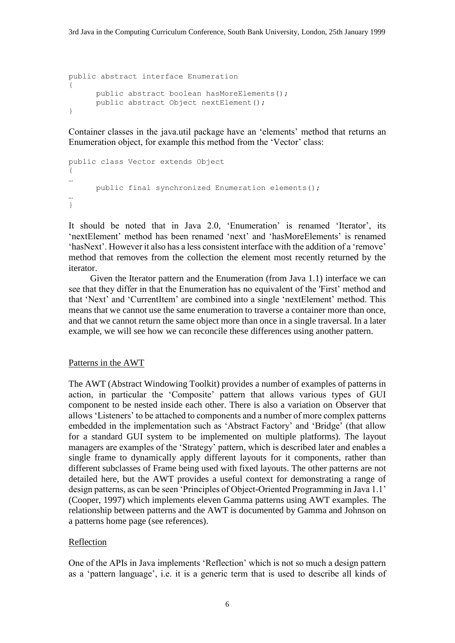```
public abstract interface Enumeration
{
      public abstract boolean hasMoreElements();
      public abstract Object nextElement();
}
```
Container classes in the java.util package have an 'elements' method that returns an Enumeration object, for example this method from the 'Vector' class:

```
public class Vector extends Object
{
…
      public final synchronized Enumeration elements();
…
}
```
It should be noted that in Java 2.0, 'Enumeration' is renamed 'Iterator', its 'nextElement' method has been renamed 'next' and 'hasMoreElements' is renamed 'hasNext'. However it also has a less consistent interface with the addition of a 'remove' method that removes from the collection the element most recently returned by the iterator.

Given the Iterator pattern and the Enumeration (from Java 1.1) interface we can see that they differ in that the Enumeration has no equivalent of the 'First' method and that 'Next' and 'CurrentItem' are combined into a single 'nextElement' method. This means that we cannot use the same enumeration to traverse a container more than once, and that we cannot return the same object more than once in a single traversal. In a later example, we will see how we can reconcile these differences using another pattern.

#### Patterns in the AWT

The AWT (Abstract Windowing Toolkit) provides a number of examples of patterns in action, in particular the 'Composite' pattern that allows various types of GUI component to be nested inside each other. There is also a variation on Observer that allows 'Listeners' to be attached to components and a number of more complex patterns embedded in the implementation such as 'Abstract Factory' and 'Bridge' (that allow for a standard GUI system to be implemented on multiple platforms). The layout managers are examples of the 'Strategy' pattern, which is described later and enables a single frame to dynamically apply different layouts for it components, rather than different subclasses of Frame being used with fixed layouts. The other patterns are not detailed here, but the AWT provides a useful context for demonstrating a range of design patterns, as can be seen 'Principles of Object-Oriented Programming in Java 1.1' (Cooper, 1997) which implements eleven Gamma patterns using AWT examples. The relationship between patterns and the AWT is documented by Gamma and Johnson on a patterns home page (see references).

#### **Reflection**

One of the APIs in Java implements 'Reflection' which is not so much a design pattern as a 'pattern language', i.e. it is a generic term that is used to describe all kinds of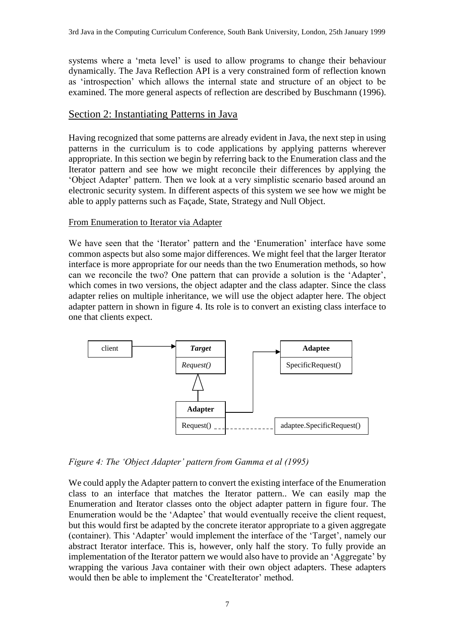systems where a 'meta level' is used to allow programs to change their behaviour dynamically. The Java Reflection API is a very constrained form of reflection known as 'introspection' which allows the internal state and structure of an object to be examined. The more general aspects of reflection are described by Buschmann (1996).

## Section 2: Instantiating Patterns in Java

Having recognized that some patterns are already evident in Java, the next step in using patterns in the curriculum is to code applications by applying patterns wherever appropriate. In this section we begin by referring back to the Enumeration class and the Iterator pattern and see how we might reconcile their differences by applying the 'Object Adapter' pattern. Then we look at a very simplistic scenario based around an electronic security system. In different aspects of this system we see how we might be able to apply patterns such as Façade, State, Strategy and Null Object.

## From Enumeration to Iterator via Adapter

We have seen that the 'Iterator' pattern and the 'Enumeration' interface have some common aspects but also some major differences. We might feel that the larger Iterator interface is more appropriate for our needs than the two Enumeration methods, so how can we reconcile the two? One pattern that can provide a solution is the 'Adapter', which comes in two versions, the object adapter and the class adapter. Since the class adapter relies on multiple inheritance, we will use the object adapter here. The object adapter pattern in shown in figure 4. Its role is to convert an existing class interface to one that clients expect.



*Figure 4: The 'Object Adapter' pattern from Gamma et al (1995)*

We could apply the Adapter pattern to convert the existing interface of the Enumeration class to an interface that matches the Iterator pattern.. We can easily map the Enumeration and Iterator classes onto the object adapter pattern in figure four. The Enumeration would be the 'Adaptee' that would eventually receive the client request, but this would first be adapted by the concrete iterator appropriate to a given aggregate (container). This 'Adapter' would implement the interface of the 'Target', namely our abstract Iterator interface. This is, however, only half the story. To fully provide an implementation of the Iterator pattern we would also have to provide an 'Aggregate' by wrapping the various Java container with their own object adapters. These adapters would then be able to implement the 'CreateIterator' method.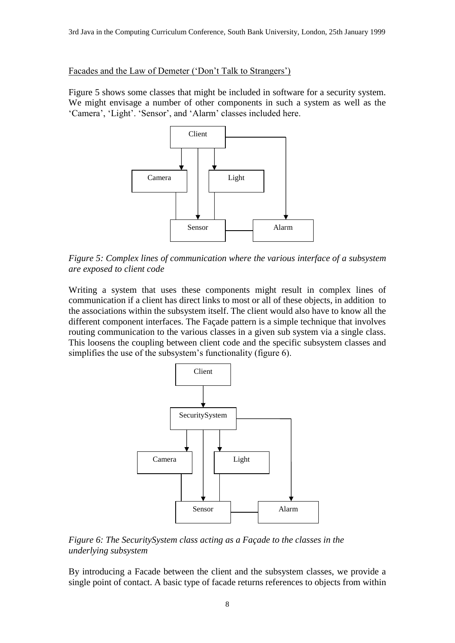#### Facades and the Law of Demeter ('Don't Talk to Strangers')

Figure 5 shows some classes that might be included in software for a security system. We might envisage a number of other components in such a system as well as the 'Camera', 'Light'. 'Sensor', and 'Alarm' classes included here.



*Figure 5: Complex lines of communication where the various interface of a subsystem are exposed to client code*

Writing a system that uses these components might result in complex lines of communication if a client has direct links to most or all of these objects, in addition to the associations within the subsystem itself. The client would also have to know all the different component interfaces. The Façade pattern is a simple technique that involves routing communication to the various classes in a given sub system via a single class. This loosens the coupling between client code and the specific subsystem classes and simplifies the use of the subsystem's functionality (figure 6).



*Figure 6: The SecuritySystem class acting as a Façade to the classes in the underlying subsystem*

By introducing a Facade between the client and the subsystem classes, we provide a single point of contact. A basic type of facade returns references to objects from within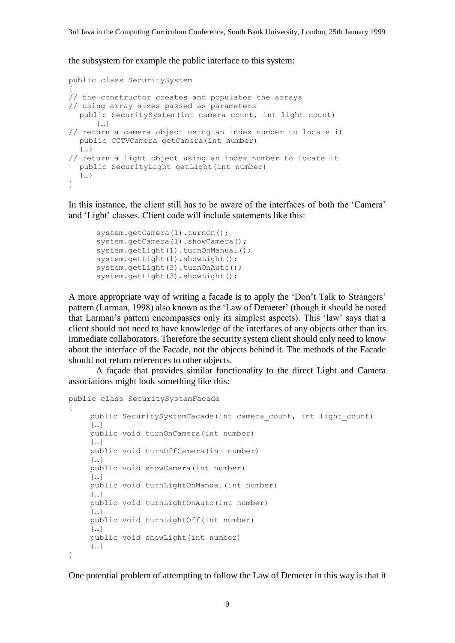the subsystem for example the public interface to this system:

```
public class SecuritySystem
{
// the constructor creates and populates the arrays
// using array sizes passed as parameters
  public SecuritySystem(int camera_count, int light_count)
      {…}
// return a camera object using an index number to locate it
  public CCTVCamera getCamera(int number)
  {…}
// return a light object using an index number to locate it
  public SecurityLight getLight(int number)
  {…}
}
```
In this instance, the client still has to be aware of the interfaces of both the 'Camera' and 'Light' classes. Client code will include statements like this:

```
system.getCamera(1).turnOn();
system.getCamera(1).showCamera();
system.getLight(1).turnOnManual();
system.getLight(1).showLight();
system.getLight(3).turnOnAuto();
system.getLight(3).showLight();
```
A more appropriate way of writing a facade is to apply the 'Don't Talk to Strangers' pattern (Larman, 1998) also known as the 'Law of Demeter' (though it should be noted that Larman's pattern encompasses only its simplest aspects). This 'law' says that a client should not need to have knowledge of the interfaces of any objects other than its immediate collaborators. Therefore the security system client should only need to know about the interface of the Facade, not the objects behind it. The methods of the Facade should not return references to other objects.

A façade that provides similar functionality to the direct Light and Camera associations might look something like this:

```
public class SecuritySystemFacade
{
    public SecuritySystemFacade(int camera_count, int light_count)
    {…}
    public void turnOnCamera(int number)
    {…}
    public void turnOffCamera(int number)
    {…}
    public void showCamera(int number)
    {…}
    public void turnLightOnManual(int number)
    {…}
    public void turnLightOnAuto(int number)
    {…}
    public void turnLightOff(int number)
    {…}
    public void showLight(int number)
     {…}
}
```
One potential problem of attempting to follow the Law of Demeter in this way is that it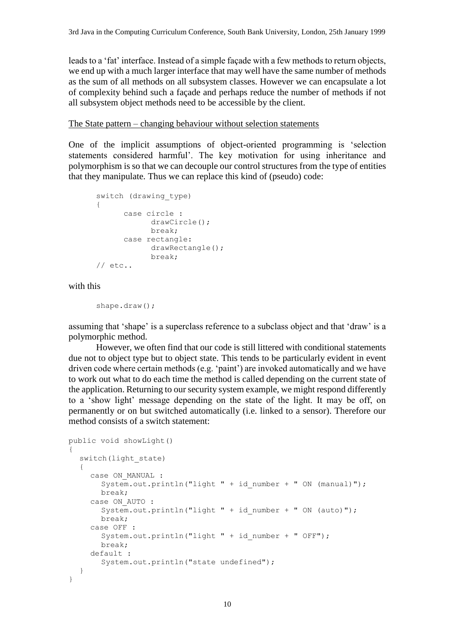leads to a 'fat' interface. Instead of a simple façade with a few methods to return objects, we end up with a much larger interface that may well have the same number of methods as the sum of all methods on all subsystem classes. However we can encapsulate a lot of complexity behind such a façade and perhaps reduce the number of methods if not all subsystem object methods need to be accessible by the client.

#### The State pattern – changing behaviour without selection statements

One of the implicit assumptions of object-oriented programming is 'selection statements considered harmful'. The key motivation for using inheritance and polymorphism is so that we can decouple our control structures from the type of entities that they manipulate. Thus we can replace this kind of (pseudo) code:

```
switch (drawing_type)
{
      case circle : 
            drawCircle();
           break;
      case rectangle:
           drawRectangle();
           break;
// etc..
```
with this

```
shape.draw();
```
assuming that 'shape' is a superclass reference to a subclass object and that 'draw' is a polymorphic method.

However, we often find that our code is still littered with conditional statements due not to object type but to object state. This tends to be particularly evident in event driven code where certain methods (e.g. 'paint') are invoked automatically and we have to work out what to do each time the method is called depending on the current state of the application. Returning to our security system example, we might respond differently to a 'show light' message depending on the state of the light. It may be off, on permanently or on but switched automatically (i.e. linked to a sensor). Therefore our method consists of a switch statement:

```
public void showLight()
{
  switch(light state)
  {
    case ON_MANUAL :
       System.out.println("light " + id number + " ON (manual)");
       break;
    case ON_AUTO :
       System.out.println("light " + id number + " ON (auto)");
       break;
    case OFF :
       System.out.println("light " + id number + " OFF");
       break;
    default :
       System.out.println("state undefined");
  }
}
```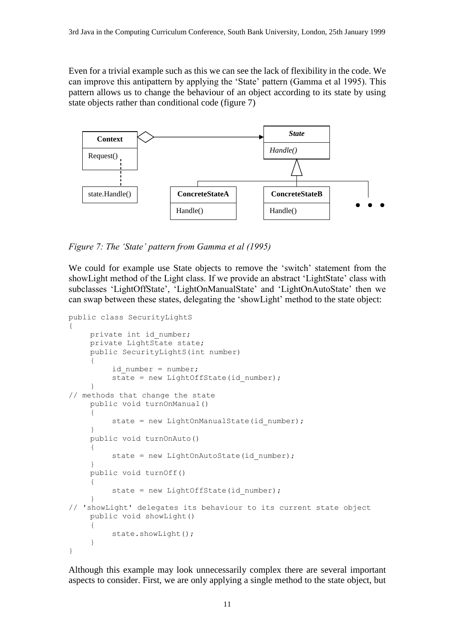Even for a trivial example such as this we can see the lack of flexibility in the code. We can improve this antipattern by applying the 'State' pattern (Gamma et al 1995). This pattern allows us to change the behaviour of an object according to its state by using state objects rather than conditional code (figure 7)



*Figure 7: The 'State' pattern from Gamma et al (1995)*

We could for example use State objects to remove the 'switch' statement from the showLight method of the Light class. If we provide an abstract 'LightState' class with subclasses 'LightOffState', 'LightOnManualState' and 'LightOnAutoState' then we can swap between these states, delegating the 'showLight' method to the state object:

```
public class SecurityLightS
{
    private int id number;
    private LightState state;
    public SecurityLightS(int number)
     {
         id number = number;
         state = new LightOffState(id number);
     }
// methods that change the state
    public void turnOnManual()
     {
         state = new LightOnManualState(id number);
     }
    public void turnOnAuto()
     {
         state = new LightOnAutoState(id number);
     }
    public void turnOff()
     {
         state = new LightOffState(id number);
     }
// 'showLight' delegates its behaviour to its current state object
    public void showLight()
     {
         state.showLight();
     }
}
```
Although this example may look unnecessarily complex there are several important aspects to consider. First, we are only applying a single method to the state object, but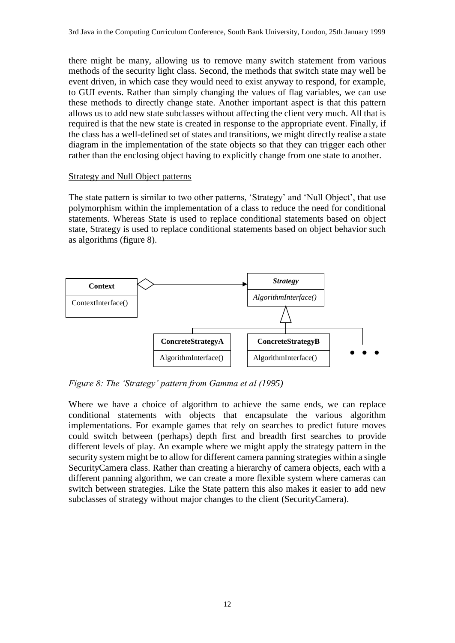there might be many, allowing us to remove many switch statement from various methods of the security light class. Second, the methods that switch state may well be event driven, in which case they would need to exist anyway to respond, for example, to GUI events. Rather than simply changing the values of flag variables, we can use these methods to directly change state. Another important aspect is that this pattern allows us to add new state subclasses without affecting the client very much. All that is required is that the new state is created in response to the appropriate event. Finally, if the class has a well-defined set of states and transitions, we might directly realise a state diagram in the implementation of the state objects so that they can trigger each other rather than the enclosing object having to explicitly change from one state to another.

## Strategy and Null Object patterns

The state pattern is similar to two other patterns, 'Strategy' and 'Null Object', that use polymorphism within the implementation of a class to reduce the need for conditional statements. Whereas State is used to replace conditional statements based on object state, Strategy is used to replace conditional statements based on object behavior such as algorithms (figure 8).



*Figure 8: The 'Strategy' pattern from Gamma et al (1995)*

Where we have a choice of algorithm to achieve the same ends, we can replace conditional statements with objects that encapsulate the various algorithm implementations. For example games that rely on searches to predict future moves could switch between (perhaps) depth first and breadth first searches to provide different levels of play. An example where we might apply the strategy pattern in the security system might be to allow for different camera panning strategies within a single SecurityCamera class. Rather than creating a hierarchy of camera objects, each with a different panning algorithm, we can create a more flexible system where cameras can switch between strategies. Like the State pattern this also makes it easier to add new subclasses of strategy without major changes to the client (SecurityCamera).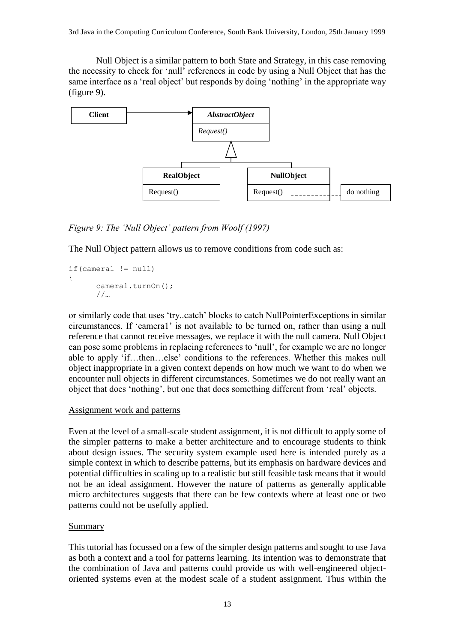Null Object is a similar pattern to both State and Strategy, in this case removing the necessity to check for 'null' references in code by using a Null Object that has the same interface as a 'real object' but responds by doing 'nothing' in the appropriate way (figure 9).



*Figure 9: The 'Null Object' pattern from Woolf (1997)*

The Null Object pattern allows us to remove conditions from code such as:

```
if(camera1 != null){
      camera1.turnOn();
      //…
```
or similarly code that uses 'try..catch' blocks to catch NullPointerExceptions in similar circumstances. If 'camera1' is not available to be turned on, rather than using a null reference that cannot receive messages, we replace it with the null camera. Null Object can pose some problems in replacing references to 'null', for example we are no longer able to apply 'if…then…else' conditions to the references. Whether this makes null object inappropriate in a given context depends on how much we want to do when we encounter null objects in different circumstances. Sometimes we do not really want an object that does 'nothing', but one that does something different from 'real' objects.

## Assignment work and patterns

Even at the level of a small-scale student assignment, it is not difficult to apply some of the simpler patterns to make a better architecture and to encourage students to think about design issues. The security system example used here is intended purely as a simple context in which to describe patterns, but its emphasis on hardware devices and potential difficulties in scaling up to a realistic but still feasible task means that it would not be an ideal assignment. However the nature of patterns as generally applicable micro architectures suggests that there can be few contexts where at least one or two patterns could not be usefully applied.

#### Summary

This tutorial has focussed on a few of the simpler design patterns and sought to use Java as both a context and a tool for patterns learning. Its intention was to demonstrate that the combination of Java and patterns could provide us with well-engineered objectoriented systems even at the modest scale of a student assignment. Thus within the